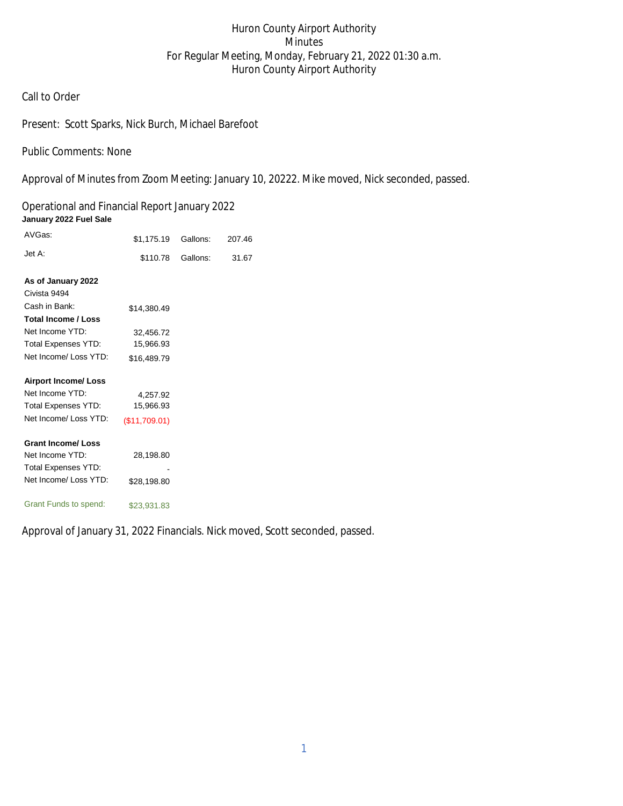# Huron County Airport Authority Minutes For Regular Meeting, Monday, February 21, 2022 01:30 a.m. Huron County Airport Authority

### Call to Order

## Present: Scott Sparks, Nick Burch, Michael Barefoot

Public Comments: None

Approval of Minutes from Zoom Meeting: January 10, 20222. Mike moved, Nick seconded, passed.

Operational and Financial Report January 2022 **January 2022 Fuel Sale** 

| AVGas:                     | \$1,175.19    | Gallons: | 207.46 |
|----------------------------|---------------|----------|--------|
| Jet A:                     | \$110.78      | Gallons: | 31.67  |
| As of January 2022         |               |          |        |
| Civista 9494               |               |          |        |
| Cash in Bank:              | \$14,380.49   |          |        |
| <b>Total Income / Loss</b> |               |          |        |
| Net Income YTD:            | 32,456.72     |          |        |
| <b>Total Expenses YTD:</b> | 15,966.93     |          |        |
| Net Income/ Loss YTD:      | \$16,489.79   |          |        |
| <b>Airport Income/Loss</b> |               |          |        |
| Net Income YTD:            | 4,257.92      |          |        |
| <b>Total Expenses YTD:</b> | 15,966.93     |          |        |
| Net Income/ Loss YTD:      | (\$11,709.01) |          |        |
| <b>Grant Income/Loss</b>   |               |          |        |
| Net Income YTD:            | 28,198.80     |          |        |
| <b>Total Expenses YTD:</b> |               |          |        |
| Net Income/ Loss YTD:      | \$28,198.80   |          |        |
| Grant Funds to spend:      | \$23,931.83   |          |        |

Approval of January 31, 2022 Financials. Nick moved, Scott seconded, passed.